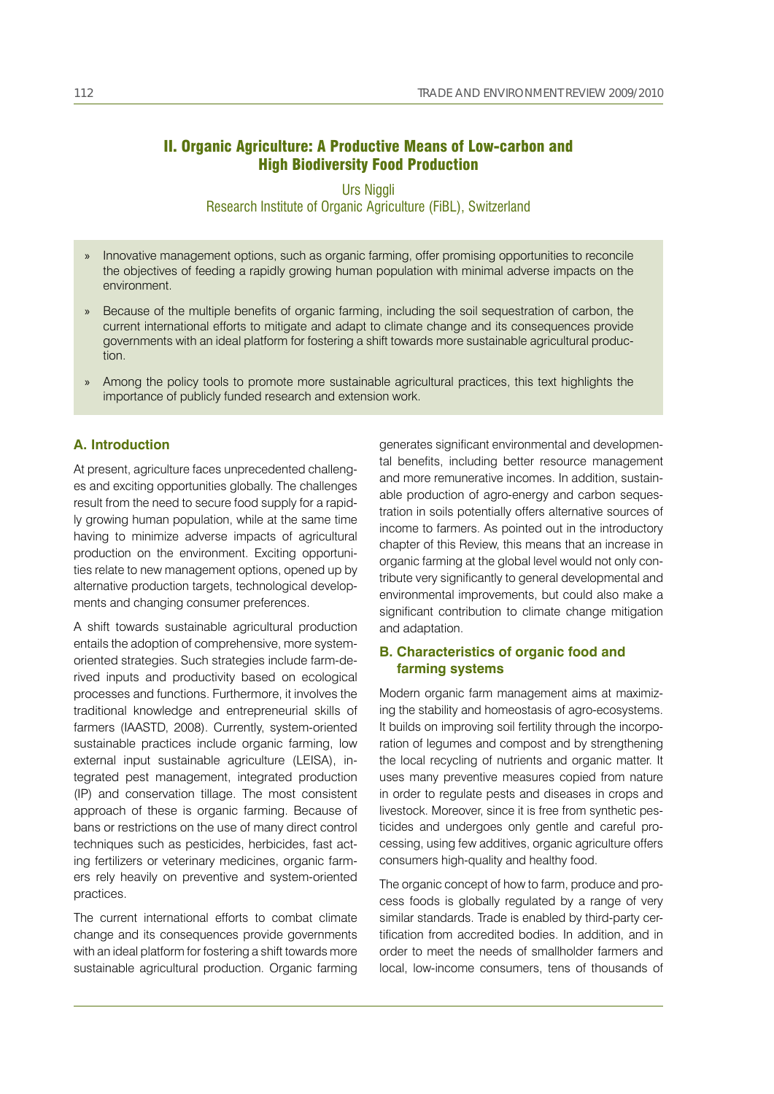# II. Organic Agriculture: A Productive Means of Low-carbon and High Biodiversity Food Production

# Urs Niggli Research Institute of Organic Agriculture (FiBL), Switzerland

- Innovative management options, such as organic farming, offer promising opportunities to reconcile the objectives of feeding a rapidly growing human population with minimal adverse impacts on the environment. »
- » Because of the multiple benefits of organic farming, including the soil sequestration of carbon, the current international efforts to mitigate and adapt to climate change and its consequences provide governments with an ideal platform for fostering a shift towards more sustainable agricultural production.
- Among the policy tools to promote more sustainable agricultural practices, this text highlights the »importance of publicly funded research and extension work.

### **A. Introduction**

At present, agriculture faces unprecedented challenges and exciting opportunities globally. The challenges result from the need to secure food supply for a rapidly growing human population, while at the same time having to minimize adverse impacts of agricultural production on the environment. Exciting opportunities relate to new management options, opened up by alternative production targets, technological developments and changing consumer preferences.

A shift towards sustainable agricultural production entails the adoption of comprehensive, more systemoriented strategies. Such strategies include farm-derived inputs and productivity based on ecological processes and functions. Furthermore, it involves the traditional knowledge and entrepreneurial skills of farmers (IAASTD, 2008). Currently, system-oriented sustainable practices include organic farming, low external input sustainable agriculture (LEISA), integrated pest management, integrated production (IP) and conservation tillage. The most consistent approach of these is organic farming. Because of bans or restrictions on the use of many direct control techniques such as pesticides, herbicides, fast acting fertilizers or veterinary medicines, organic farmers rely heavily on preventive and system-oriented practices.

The current international efforts to combat climate change and its consequences provide governments with an ideal platform for fostering a shift towards more sustainable agricultural production. Organic farming generates significant environmental and developmental benefits, including better resource management and more remunerative incomes. In addition, sustainable production of agro-energy and carbon sequestration in soils potentially offers alternative sources of income to farmers. As pointed out in the introductory chapter of this Review, this means that an increase in organic farming at the global level would not only contribute very significantly to general developmental and environmental improvements, but could also make a significant contribution to climate change mitigation and adaptation.

## **B. Characteristics of organic food and farming systems**

Modern organic farm management aims at maximizing the stability and homeostasis of agro-ecosystems. It builds on improving soil fertility through the incorporation of legumes and compost and by strengthening the local recycling of nutrients and organic matter. It uses many preventive measures copied from nature in order to regulate pests and diseases in crops and livestock. Moreover, since it is free from synthetic pesticides and undergoes only gentle and careful processing, using few additives, organic agriculture offers consumers high-quality and healthy food.

The organic concept of how to farm, produce and process foods is globally regulated by a range of very similar standards. Trade is enabled by third-party certification from accredited bodies. In addition, and in order to meet the needs of smallholder farmers and local, low-income consumers, tens of thousands of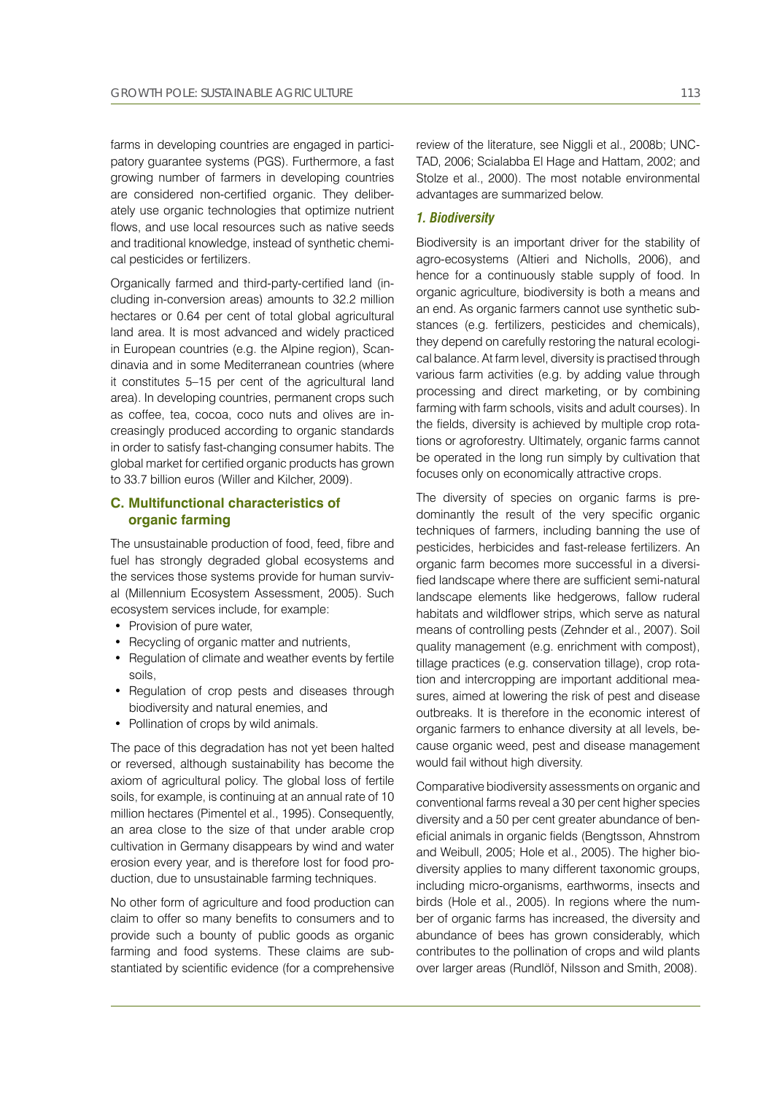farms in developing countries are engaged in participatory guarantee systems (PGS). Furthermore, a fast growing number of farmers in developing countries are considered non-certified organic. They deliberately use organic technologies that optimize nutrient flows, and use local resources such as native seeds and traditional knowledge, instead of synthetic chemical pesticides or fertilizers.

Organically farmed and third-party-certified land (including in-conversion areas) amounts to 32.2 million hectares or 0.64 per cent of total global agricultural land area. It is most advanced and widely practiced in European countries (e.g. the Alpine region), Scandinavia and in some Mediterranean countries (where it constitutes 5–15 per cent of the agricultural land area). In developing countries, permanent crops such as coffee, tea, cocoa, coco nuts and olives are increasingly produced according to organic standards in order to satisfy fast-changing consumer habits. The global market for certified organic products has grown to 33.7 billion euros (Willer and Kilcher, 2009).

## **C. Multifunctional characteristics of organic farming**

The unsustainable production of food, feed, fibre and fuel has strongly degraded global ecosystems and the services those systems provide for human survival (Millennium Ecosystem Assessment, 2005). Such ecosystem services include, for example:

- Provision of pure water,
- Recycling of organic matter and nutrients,
- Regulation of climate and weather events by fertile soils,
- Regulation of crop pests and diseases through biodiversity and natural enemies, and
- Pollination of crops by wild animals.

The pace of this degradation has not yet been halted or reversed, although sustainability has become the axiom of agricultural policy. The global loss of fertile soils, for example, is continuing at an annual rate of 10 million hectares (Pimentel et al., 1995). Consequently, an area close to the size of that under arable crop cultivation in Germany disappears by wind and water erosion every year, and is therefore lost for food production, due to unsustainable farming techniques.

No other form of agriculture and food production can claim to offer so many benefits to consumers and to provide such a bounty of public goods as organic farming and food systems. These claims are substantiated by scientific evidence (for a comprehensive

review of the literature, see Niggli et al., 2008b; UNC-TAD, 2006; Scialabba El Hage and Hattam, 2002; and Stolze et al., 2000). The most notable environmental advantages are summarized below.

### *1. Biodiversity*

Biodiversity is an important driver for the stability of agro-ecosystems (Altieri and Nicholls, 2006), and hence for a continuously stable supply of food. In organic agriculture, biodiversity is both a means and an end. As organic farmers cannot use synthetic substances (e.g. fertilizers, pesticides and chemicals), they depend on carefully restoring the natural ecological balance. At farm level, diversity is practised through various farm activities (e.g. by adding value through processing and direct marketing, or by combining farming with farm schools, visits and adult courses). In the fields, diversity is achieved by multiple crop rotations or agroforestry. Ultimately, organic farms cannot be operated in the long run simply by cultivation that focuses only on economically attractive crops.

The diversity of species on organic farms is predominantly the result of the very specific organic techniques of farmers, including banning the use of pesticides, herbicides and fast-release fertilizers. An organic farm becomes more successful in a diversified landscape where there are sufficient semi-natural landscape elements like hedgerows, fallow ruderal habitats and wildflower strips, which serve as natural means of controlling pests (Zehnder et al., 2007). Soil quality management (e.g. enrichment with compost), tillage practices (e.g. conservation tillage), crop rotation and intercropping are important additional measures, aimed at lowering the risk of pest and disease outbreaks. It is therefore in the economic interest of organic farmers to enhance diversity at all levels, because organic weed, pest and disease management would fail without high diversity.

Comparative biodiversity assessments on organic and conventional farms reveal a 30 per cent higher species diversity and a 50 per cent greater abundance of beneficial animals in organic fields (Bengtsson, Ahnstrom and Weibull, 2005; Hole et al., 2005). The higher biodiversity applies to many different taxonomic groups, including micro-organisms, earthworms, insects and birds (Hole et al., 2005). In regions where the number of organic farms has increased, the diversity and abundance of bees has grown considerably, which contributes to the pollination of crops and wild plants over larger areas (Rundlöf, Nilsson and Smith, 2008).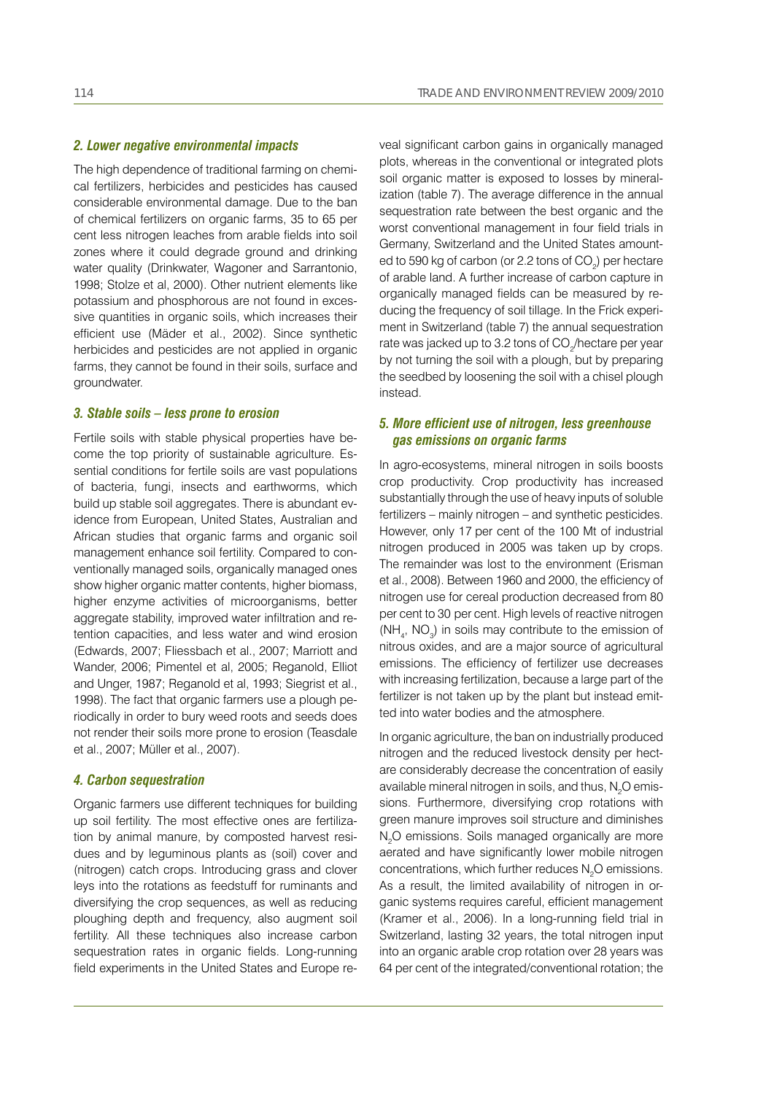### *2. Lower negative environmental impacts*

The high dependence of traditional farming on chemical fertilizers, herbicides and pesticides has caused considerable environmental damage. Due to the ban of chemical fertilizers on organic farms, 35 to 65 per cent less nitrogen leaches from arable fields into soil zones where it could degrade ground and drinking water quality (Drinkwater, Wagoner and Sarrantonio, 1998; Stolze et al, 2000). Other nutrient elements like potassium and phosphorous are not found in excessive quantities in organic soils, which increases their efficient use (Mäder et al., 2002). Since synthetic herbicides and pesticides are not applied in organic farms, they cannot be found in their soils, surface and groundwater.

#### *3. Stable soils – less prone to erosion*

Fertile soils with stable physical properties have become the top priority of sustainable agriculture. Essential conditions for fertile soils are vast populations of bacteria, fungi, insects and earthworms, which build up stable soil aggregates. There is abundant evidence from European, United States, Australian and African studies that organic farms and organic soil management enhance soil fertility. Compared to conventionally managed soils, organically managed ones show higher organic matter contents, higher biomass, higher enzyme activities of microorganisms, better aggregate stability, improved water infiltration and retention capacities, and less water and wind erosion (Edwards, 2007; Fliessbach et al., 2007; Marriott and Wander, 2006; Pimentel et al, 2005; Reganold, Elliot and Unger, 1987; Reganold et al, 1993; Siegrist et al., 1998). The fact that organic farmers use a plough periodically in order to bury weed roots and seeds does not render their soils more prone to erosion (Teasdale et al., 2007; Müller et al., 2007).

### *4. Carbon sequestration*

Organic farmers use different techniques for building up soil fertility. The most effective ones are fertilization by animal manure, by composted harvest residues and by leguminous plants as (soil) cover and (nitrogen) catch crops. Introducing grass and clover leys into the rotations as feedstuff for ruminants and diversifying the crop sequences, as well as reducing ploughing depth and frequency, also augment soil fertility. All these techniques also increase carbon sequestration rates in organic fields. Long-running field experiments in the United States and Europe reveal significant carbon gains in organically managed plots, whereas in the conventional or integrated plots soil organic matter is exposed to losses by mineralization (table 7). The average difference in the annual sequestration rate between the best organic and the worst conventional management in four field trials in Germany, Switzerland and the United States amounted to 590 kg of carbon (or 2.2 tons of CO<sub>2</sub>) per hectare of arable land. A further increase of carbon capture in organically managed fields can be measured by reducing the frequency of soil tillage. In the Frick experiment in Switzerland (table 7) the annual sequestration rate was jacked up to 3.2 tons of CO<sub>2</sub>/hectare per year by not turning the soil with a plough, but by preparing the seedbed by loosening the soil with a chisel plough instead.

## *5. More efficient use of nitrogen, less greenhouse gas emissions on organic farms*

In agro-ecosystems, mineral nitrogen in soils boosts crop productivity. Crop productivity has increased substantially through the use of heavy inputs of soluble fertilizers – mainly nitrogen – and synthetic pesticides. However, only 17 per cent of the 100 Mt of industrial nitrogen produced in 2005 was taken up by crops. The remainder was lost to the environment (Erisman et al., 2008). Between 1960 and 2000, the efficiency of nitrogen use for cereal production decreased from 80 per cent to 30 per cent. High levels of reactive nitrogen  $(NH<sub>4</sub>, NO<sub>3</sub>)$  in soils may contribute to the emission of nitrous oxides, and are a major source of agricultural emissions. The efficiency of fertilizer use decreases with increasing fertilization, because a large part of the fertilizer is not taken up by the plant but instead emitted into water bodies and the atmosphere.

In organic agriculture, the ban on industrially produced nitrogen and the reduced livestock density per hectare considerably decrease the concentration of easily available mineral nitrogen in soils, and thus,  $N_{2}$ O emissions. Furthermore, diversifying crop rotations with green manure improves soil structure and diminishes  $N_2$ O emissions. Soils managed organically are more aerated and have significantly lower mobile nitrogen concentrations, which further reduces  $N_{2}O$  emissions. As a result, the limited availability of nitrogen in organic systems requires careful, efficient management (Kramer et al., 2006). In a long-running field trial in Switzerland, lasting 32 years, the total nitrogen input into an organic arable crop rotation over 28 years was 64 per cent of the integrated/conventional rotation; the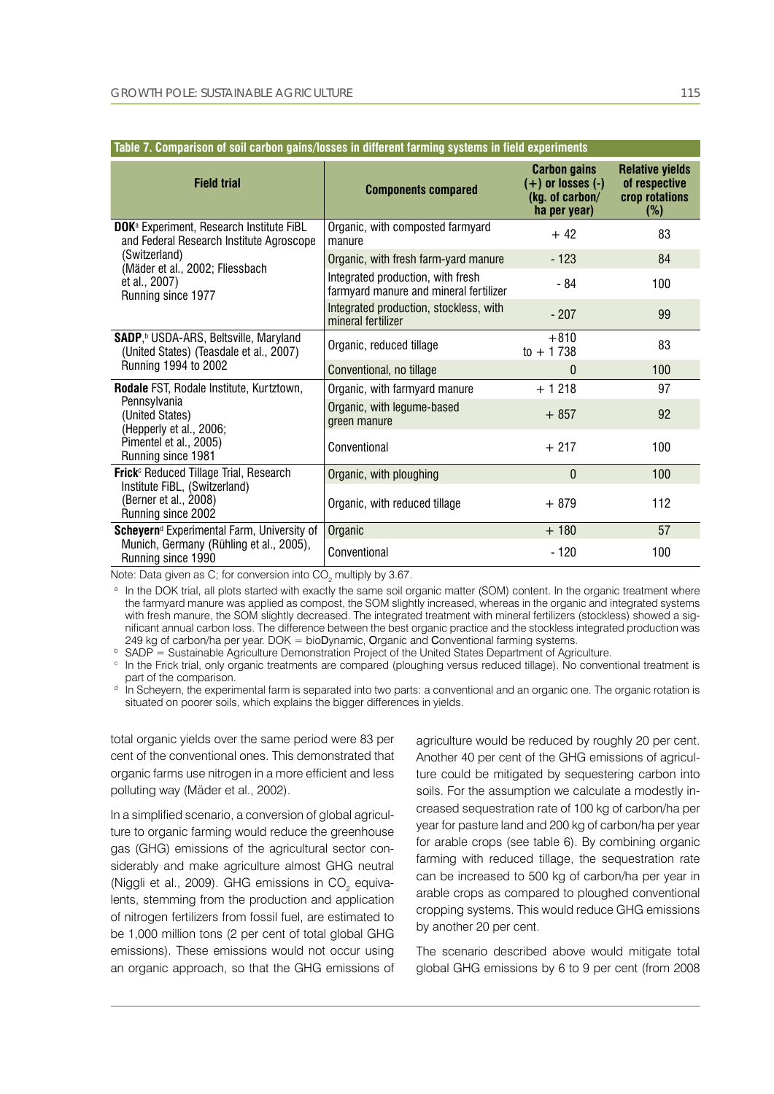| TADIC 7. COMPANSON OF SON CANON YAMS/10SSCS IN UNICIGIII IANIMIY SYSIGMS IN HGIU GAPGI MIGHIS                                                                                               |                                                                             |                                                                                 |                                                                     |
|---------------------------------------------------------------------------------------------------------------------------------------------------------------------------------------------|-----------------------------------------------------------------------------|---------------------------------------------------------------------------------|---------------------------------------------------------------------|
| <b>Field trial</b>                                                                                                                                                                          | <b>Components compared</b>                                                  | <b>Carbon gains</b><br>$(+)$ or losses $(-)$<br>(kg. of carbon/<br>ha per year) | <b>Relative yields</b><br>of respective<br>crop rotations<br>$(\%)$ |
| DOK <sup>a</sup> Experiment, Research Institute FiBL<br>and Federal Research Institute Agroscope<br>(Switzerland)<br>(Mäder et al., 2002; Fliessbach<br>et al., 2007)<br>Running since 1977 | Organic, with composted farmyard<br>manure                                  | $+42$                                                                           | 83                                                                  |
|                                                                                                                                                                                             | Organic, with fresh farm-yard manure                                        | $-123$                                                                          | 84                                                                  |
|                                                                                                                                                                                             | Integrated production, with fresh<br>farmyard manure and mineral fertilizer | - 84                                                                            | 100                                                                 |
|                                                                                                                                                                                             | Integrated production, stockless, with<br>mineral fertilizer                | $-207$                                                                          | 99                                                                  |
| <b>SADP,</b> <sup>b</sup> USDA-ARS, Beltsville, Maryland<br>(United States) (Teasdale et al., 2007)<br>Running 1994 to 2002                                                                 | Organic, reduced tillage                                                    | $+810$<br>$to + 1738$                                                           | 83                                                                  |
|                                                                                                                                                                                             | Conventional, no tillage                                                    | $\Omega$                                                                        | 100                                                                 |
| Rodale FST, Rodale Institute, Kurtztown,<br>Pennsylvania<br>(United States)<br>(Hepperly et al., 2006;<br>Pimentel et al., 2005)<br>Running since 1981                                      | Organic, with farmyard manure                                               | $+1218$                                                                         | 97                                                                  |
|                                                                                                                                                                                             | Organic, with legume-based<br>green manure                                  | $+857$                                                                          | 92                                                                  |
|                                                                                                                                                                                             | Conventional                                                                | $+217$                                                                          | 100                                                                 |
| Frick <sup>c</sup> Reduced Tillage Trial, Research<br>Institute FiBL, (Switzerland)<br>(Berner et al., 2008)<br>Running since 2002                                                          | Organic, with ploughing                                                     | $\mathbf{0}$                                                                    | 100                                                                 |
|                                                                                                                                                                                             | Organic, with reduced tillage                                               | $+879$                                                                          | 112                                                                 |
| Scheyern <sup>d</sup> Experimental Farm, University of<br>Munich, Germany (Rühling et al., 2005),<br>Running since 1990                                                                     | Organic                                                                     | $+180$                                                                          | 57                                                                  |
|                                                                                                                                                                                             | Conventional                                                                | $-120$                                                                          | 100                                                                 |

Note: Data given as C; for conversion into CO<sub>2</sub> multiply by 3.67.

a In the DOK trial, all plots started with exactly the same soil organic matter (SOM) content. In the organic treatment where the farmyard manure was applied as compost, the SOM slightly increased, whereas in the organic and integrated systems with fresh manure, the SOM slightly decreased. The integrated treatment with mineral fertilizers (stockless) showed a significant annual carbon loss. The difference between the best organic practice and the stockless integrated production was 249 kg of carbon/ha per year. DOK = bioDynamic, Organic and Conventional farming systems.

<sup>b</sup> SADP = Sustainable Agriculture Demonstration Project of the United States Department of Agriculture.

<sup>c</sup> In the Frick trial, only organic treatments are compared (ploughing versus reduced tillage). No conventional treatment is part of the comparison.

<sup>d</sup> In Scheyern, the experimental farm is separated into two parts: a conventional and an organic one. The organic rotation is situated on poorer soils, which explains the bigger differences in yields.

total organic yields over the same period were 83 per cent of the conventional ones. This demonstrated that organic farms use nitrogen in a more efficient and less polluting way (Mäder et al., 2002).

In a simplified scenario, a conversion of global agriculture to organic farming would reduce the greenhouse gas (GHG) emissions of the agricultural sector considerably and make agriculture almost GHG neutral (Niggli et al., 2009). GHG emissions in CO<sub>2</sub> equivalents, stemming from the production and application of nitrogen fertilizers from fossil fuel, are estimated to be 1,000 million tons (2 per cent of total global GHG emissions). These emissions would not occur using an organic approach, so that the GHG emissions of agriculture would be reduced by roughly 20 per cent. Another 40 per cent of the GHG emissions of agriculture could be mitigated by sequestering carbon into soils. For the assumption we calculate a modestly increased sequestration rate of 100 kg of carbon/ha per year for pasture land and 200 kg of carbon/ha per year for arable crops (see table 6). By combining organic farming with reduced tillage, the sequestration rate can be increased to 500 kg of carbon/ha per year in arable crops as compared to ploughed conventional cropping systems. This would reduce GHG emissions by another 20 per cent.

The scenario described above would mitigate total global GHG emissions by 6 to 9 per cent (from 2008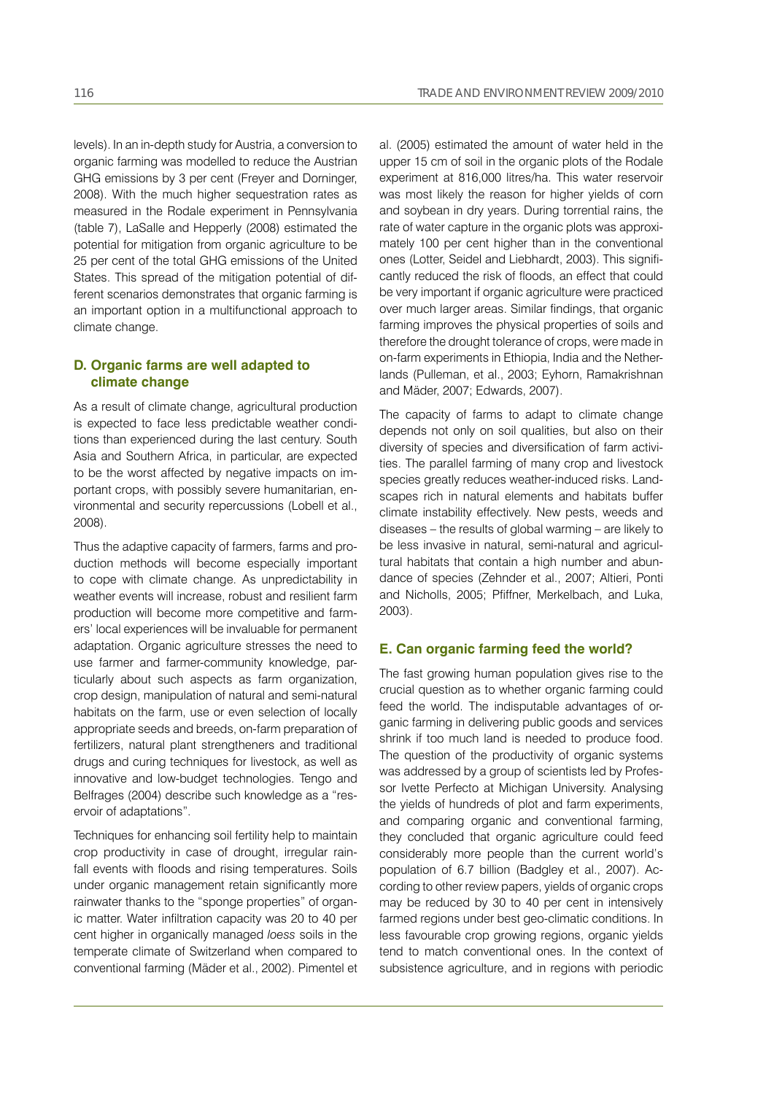levels). In an in-depth study for Austria, a conversion to organic farming was modelled to reduce the Austrian GHG emissions by 3 per cent (Freyer and Dorninger, 2008). With the much higher sequestration rates as measured in the Rodale experiment in Pennsylvania (table 7), LaSalle and Hepperly (2008) estimated the potential for mitigation from organic agriculture to be 25 per cent of the total GHG emissions of the United States. This spread of the mitigation potential of different scenarios demonstrates that organic farming is an important option in a multifunctional approach to climate change.

### **D. Organic farms are well adapted to climate change**

As a result of climate change, agricultural production is expected to face less predictable weather conditions than experienced during the last century. South Asia and Southern Africa, in particular, are expected to be the worst affected by negative impacts on important crops, with possibly severe humanitarian, environmental and security repercussions (Lobell et al., 2008).

Thus the adaptive capacity of farmers, farms and production methods will become especially important to cope with climate change. As unpredictability in weather events will increase, robust and resilient farm production will become more competitive and farmers' local experiences will be invaluable for permanent adaptation. Organic agriculture stresses the need to use farmer and farmer-community knowledge, particularly about such aspects as farm organization, crop design, manipulation of natural and semi-natural habitats on the farm, use or even selection of locally appropriate seeds and breeds, on-farm preparation of fertilizers, natural plant strengtheners and traditional drugs and curing techniques for livestock, as well as innovative and low-budget technologies. Tengo and Belfrages (2004) describe such knowledge as a "reservoir of adaptations".

Techniques for enhancing soil fertility help to maintain crop productivity in case of drought, irregular rainfall events with floods and rising temperatures. Soils under organic management retain significantly more rainwater thanks to the "sponge properties" of organic matter. Water infiltration capacity was 20 to 40 per cent higher in organically managed *loess* soils in the temperate climate of Switzerland when compared to conventional farming (Mäder et al., 2002). Pimentel et al. (2005) estimated the amount of water held in the upper 15 cm of soil in the organic plots of the Rodale experiment at 816,000 litres/ha. This water reservoir was most likely the reason for higher yields of corn and soybean in dry years. During torrential rains, the rate of water capture in the organic plots was approximately 100 per cent higher than in the conventional ones (Lotter, Seidel and Liebhardt, 2003). This significantly reduced the risk of floods, an effect that could be very important if organic agriculture were practiced over much larger areas. Similar findings, that organic farming improves the physical properties of soils and therefore the drought tolerance of crops, were made in on-farm experiments in Ethiopia, India and the Netherlands (Pulleman, et al., 2003; Eyhorn, Ramakrishnan and Mäder, 2007; Edwards, 2007).

The capacity of farms to adapt to climate change depends not only on soil qualities, but also on their diversity of species and diversification of farm activities. The parallel farming of many crop and livestock species greatly reduces weather-induced risks. Landscapes rich in natural elements and habitats buffer climate instability effectively. New pests, weeds and diseases – the results of global warming – are likely to be less invasive in natural, semi-natural and agricultural habitats that contain a high number and abundance of species (Zehnder et al., 2007; Altieri, Ponti and Nicholls, 2005; Pfiffner, Merkelbach, and Luka, 2003).

### **E. Can organic farming feed the world?**

The fast growing human population gives rise to the crucial question as to whether organic farming could feed the world. The indisputable advantages of organic farming in delivering public goods and services shrink if too much land is needed to produce food. The question of the productivity of organic systems was addressed by a group of scientists led by Professor Ivette Perfecto at Michigan University. Analysing the yields of hundreds of plot and farm experiments, and comparing organic and conventional farming, they concluded that organic agriculture could feed considerably more people than the current world's population of 6.7 billion (Badgley et al., 2007). According to other review papers, yields of organic crops may be reduced by 30 to 40 per cent in intensively farmed regions under best geo-climatic conditions. In less favourable crop growing regions, organic yields tend to match conventional ones. In the context of subsistence agriculture, and in regions with periodic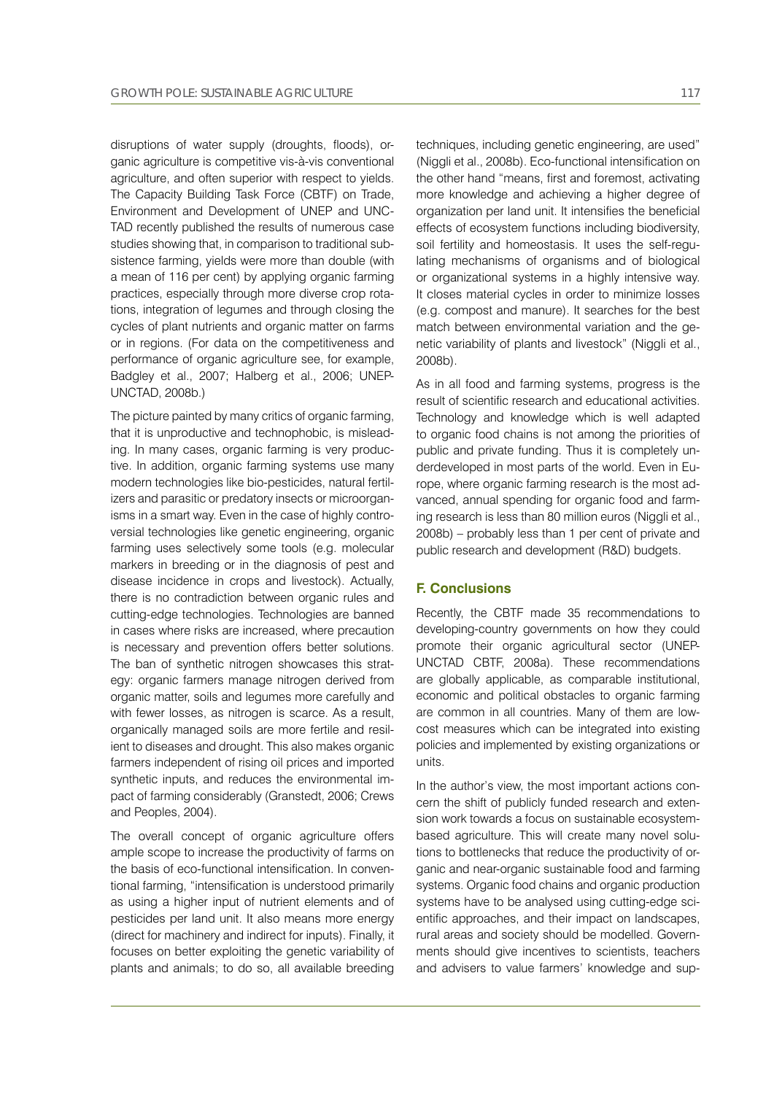disruptions of water supply (droughts, floods), organic agriculture is competitive vis-à-vis conventional agriculture, and often superior with respect to yields. The Capacity Building Task Force (CBTF) on Trade, Environment and Development of UNEP and UNC-TAD recently published the results of numerous case studies showing that, in comparison to traditional subsistence farming, yields were more than double (with a mean of 116 per cent) by applying organic farming practices, especially through more diverse crop rotations, integration of legumes and through closing the cycles of plant nutrients and organic matter on farms or in regions. (For data on the competitiveness and performance of organic agriculture see, for example, Badgley et al., 2007; Halberg et al., 2006; UNEP-UNCTAD, 2008b.)

The picture painted by many critics of organic farming, that it is unproductive and technophobic, is misleading. In many cases, organic farming is very productive. In addition, organic farming systems use many modern technologies like bio-pesticides, natural fertilizers and parasitic or predatory insects or microorganisms in a smart way. Even in the case of highly controversial technologies like genetic engineering, organic farming uses selectively some tools (e.g. molecular markers in breeding or in the diagnosis of pest and disease incidence in crops and livestock). Actually, there is no contradiction between organic rules and cutting-edge technologies. Technologies are banned in cases where risks are increased, where precaution is necessary and prevention offers better solutions. The ban of synthetic nitrogen showcases this strategy: organic farmers manage nitrogen derived from organic matter, soils and legumes more carefully and with fewer losses, as nitrogen is scarce. As a result, organically managed soils are more fertile and resilient to diseases and drought. This also makes organic farmers independent of rising oil prices and imported synthetic inputs, and reduces the environmental impact of farming considerably (Granstedt, 2006; Crews and Peoples, 2004).

The overall concept of organic agriculture offers ample scope to increase the productivity of farms on the basis of eco-functional intensification. In conventional farming, "intensification is understood primarily as using a higher input of nutrient elements and of pesticides per land unit. It also means more energy (direct for machinery and indirect for inputs). Finally, it focuses on better exploiting the genetic variability of plants and animals; to do so, all available breeding

techniques, including genetic engineering, are used" (Niggli et al., 2008b). Eco-functional intensification on the other hand "means, first and foremost, activating more knowledge and achieving a higher degree of organization per land unit. It intensifies the beneficial effects of ecosystem functions including biodiversity, soil fertility and homeostasis. It uses the self-regulating mechanisms of organisms and of biological or organizational systems in a highly intensive way. It closes material cycles in order to minimize losses (e.g. compost and manure). It searches for the best match between environmental variation and the genetic variability of plants and livestock" (Niggli et al., 2008b).

As in all food and farming systems, progress is the result of scientific research and educational activities. Technology and knowledge which is well adapted to organic food chains is not among the priorities of public and private funding. Thus it is completely underdeveloped in most parts of the world. Even in Europe, where organic farming research is the most advanced, annual spending for organic food and farming research is less than 80 million euros (Niggli et al., 2008b) – probably less than 1 per cent of private and public research and development (R&D) budgets.

## **F. Conclusions**

Recently, the CBTF made 35 recommendations to developing-country governments on how they could promote their organic agricultural sector (UNEP-UNCTAD CBTF, 2008a). These recommendations are globally applicable, as comparable institutional, economic and political obstacles to organic farming are common in all countries. Many of them are lowcost measures which can be integrated into existing policies and implemented by existing organizations or units.

In the author's view, the most important actions concern the shift of publicly funded research and extension work towards a focus on sustainable ecosystembased agriculture. This will create many novel solutions to bottlenecks that reduce the productivity of organic and near-organic sustainable food and farming systems. Organic food chains and organic production systems have to be analysed using cutting-edge scientific approaches, and their impact on landscapes, rural areas and society should be modelled. Governments should give incentives to scientists, teachers and advisers to value farmers' knowledge and sup-